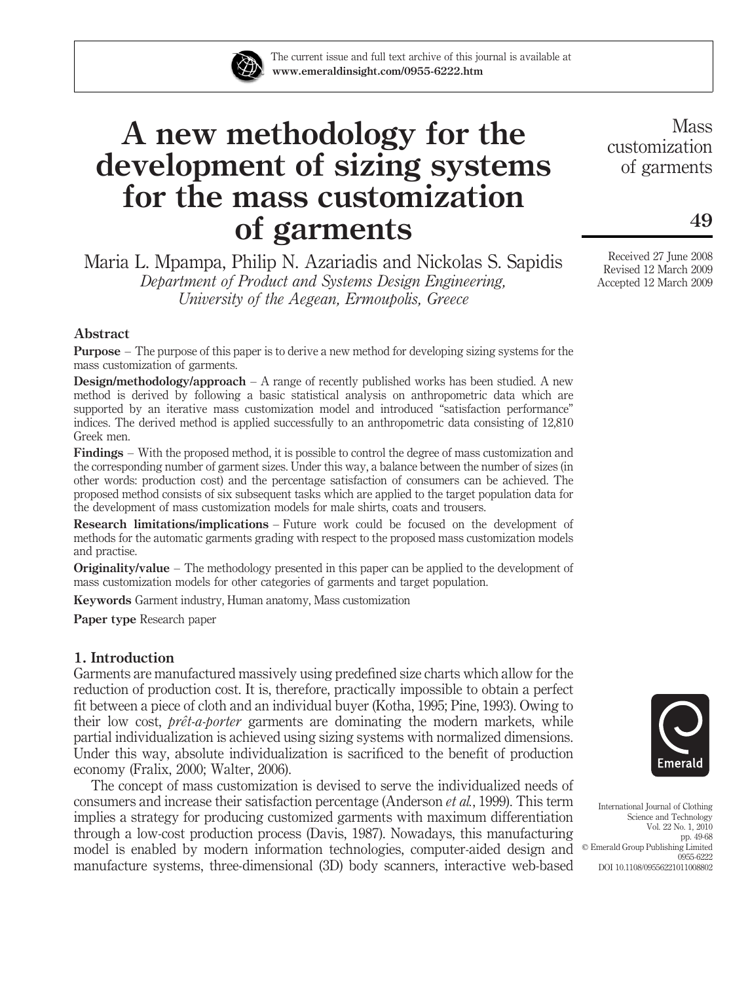# A new methodology for the development of sizing systems for the mass customization of garments

Maria L. Mpampa, Philip N. Azariadis and Nickolas S. Sapidis Department of Product and Systems Design Engineering, University of the Aegean, Ermoupolis, Greece

### Abstract

Purpose – The purpose of this paper is to derive a new method for developing sizing systems for the mass customization of garments.

**Design/methodology/approach** – A range of recently published works has been studied. A new method is derived by following a basic statistical analysis on anthropometric data which are supported by an iterative mass customization model and introduced "satisfaction performance" indices. The derived method is applied successfully to an anthropometric data consisting of 12,810 Greek men.

Findings – With the proposed method, it is possible to control the degree of mass customization and the corresponding number of garment sizes. Under this way, a balance between the number of sizes (in other words: production cost) and the percentage satisfaction of consumers can be achieved. The proposed method consists of six subsequent tasks which are applied to the target population data for the development of mass customization models for male shirts, coats and trousers.

Research limitations/implications – Future work could be focused on the development of methods for the automatic garments grading with respect to the proposed mass customization models and practise.

Originality/value – The methodology presented in this paper can be applied to the development of mass customization models for other categories of garments and target population.

Keywords Garment industry, Human anatomy, Mass customization

Paper type Research paper

# 1. Introduction

Garments are manufactured massively using predefined size charts which allow for the reduction of production cost. It is, therefore, practically impossible to obtain a perfect fit between a piece of cloth and an individual buyer (Kotha, 1995; Pine, 1993). Owing to their low cost, *prêt-a-porter* garments are dominating the modern markets, while partial individualization is achieved using sizing systems with normalized dimensions. Under this way, absolute individualization is sacrificed to the benefit of production economy (Fralix, 2000; Walter, 2006).

The concept of mass customization is devised to serve the individualized needs of consumers and increase their satisfaction percentage (Anderson et al., 1999). This term implies a strategy for producing customized garments with maximum differentiation through a low-cost production process (Davis, 1987). Nowadays, this manufacturing model is enabled by modern information technologies, computer-aided design and manufacture systems, three-dimensional (3D) body scanners, interactive web-based

Mass customization of garments

49

Received 27 June 2008 Revised 12 March 2009 Accepted 12 March 2009



International Journal of Clothing Science and Technology Vol. 22 No. 1, 2010 pp. 49-68  $©$  Emerald Group Publishing Limited 0955-6222 DOI 10.1108/09556221011008802

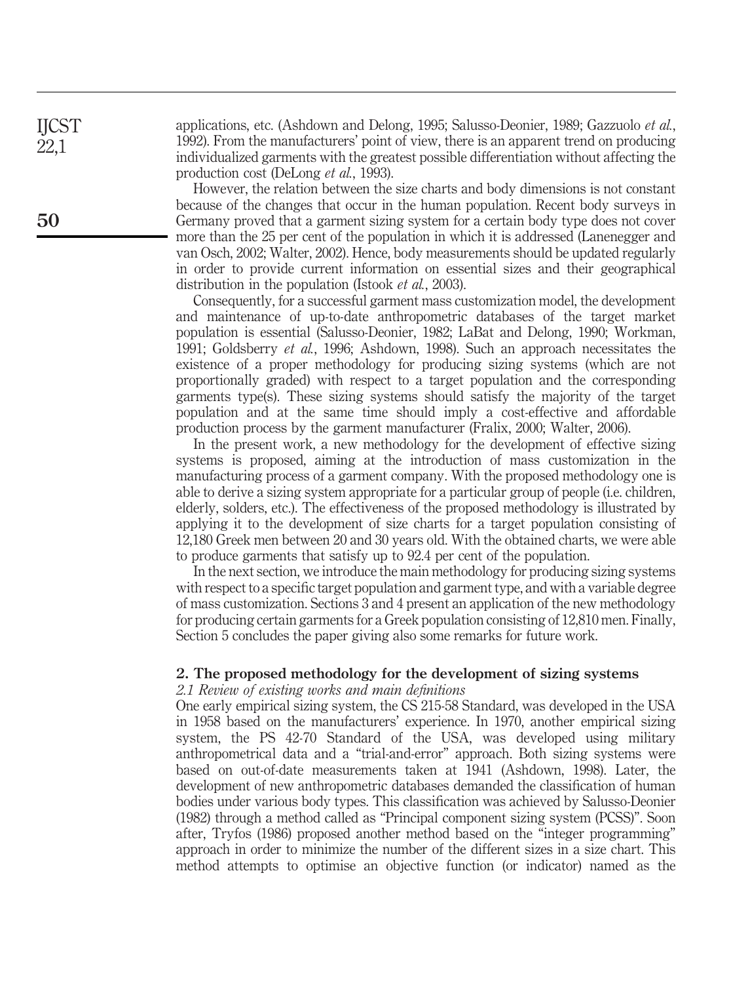applications, etc. (Ashdown and Delong, 1995; Salusso-Deonier, 1989; Gazzuolo et al., 1992). From the manufacturers' point of view, there is an apparent trend on producing individualized garments with the greatest possible differentiation without affecting the production cost (DeLong et al., 1993).

However, the relation between the size charts and body dimensions is not constant because of the changes that occur in the human population. Recent body surveys in Germany proved that a garment sizing system for a certain body type does not cover more than the 25 per cent of the population in which it is addressed (Lanenegger and van Osch, 2002; Walter, 2002). Hence, body measurements should be updated regularly in order to provide current information on essential sizes and their geographical distribution in the population (Istook *et al.*, 2003).

Consequently, for a successful garment mass customization model, the development and maintenance of up-to-date anthropometric databases of the target market population is essential (Salusso-Deonier, 1982; LaBat and Delong, 1990; Workman, 1991; Goldsberry et al., 1996; Ashdown, 1998). Such an approach necessitates the existence of a proper methodology for producing sizing systems (which are not proportionally graded) with respect to a target population and the corresponding garments type(s). These sizing systems should satisfy the majority of the target population and at the same time should imply a cost-effective and affordable production process by the garment manufacturer (Fralix, 2000; Walter, 2006).

In the present work, a new methodology for the development of effective sizing systems is proposed, aiming at the introduction of mass customization in the manufacturing process of a garment company. With the proposed methodology one is able to derive a sizing system appropriate for a particular group of people (i.e. children, elderly, solders, etc.). The effectiveness of the proposed methodology is illustrated by applying it to the development of size charts for a target population consisting of 12,180 Greek men between 20 and 30 years old. With the obtained charts, we were able to produce garments that satisfy up to 92.4 per cent of the population.

In the next section, we introduce the main methodology for producing sizing systems with respect to a specific target population and garment type, and with a variable degree of mass customization. Sections 3 and 4 present an application of the new methodology for producing certain garments for a Greek population consisting of 12,810 men. Finally, Section 5 concludes the paper giving also some remarks for future work.

### 2. The proposed methodology for the development of sizing systems

# 2.1 Review of existing works and main definitions

One early empirical sizing system, the CS 215-58 Standard, was developed in the USA in 1958 based on the manufacturers' experience. In 1970, another empirical sizing system, the PS 42-70 Standard of the USA, was developed using military anthropometrical data and a "trial-and-error" approach. Both sizing systems were based on out-of-date measurements taken at 1941 (Ashdown, 1998). Later, the development of new anthropometric databases demanded the classification of human bodies under various body types. This classification was achieved by Salusso-Deonier (1982) through a method called as "Principal component sizing system (PCSS)". Soon after, Tryfos (1986) proposed another method based on the "integer programming" approach in order to minimize the number of the different sizes in a size chart. This method attempts to optimise an objective function (or indicator) named as the

**IJCST** 22,1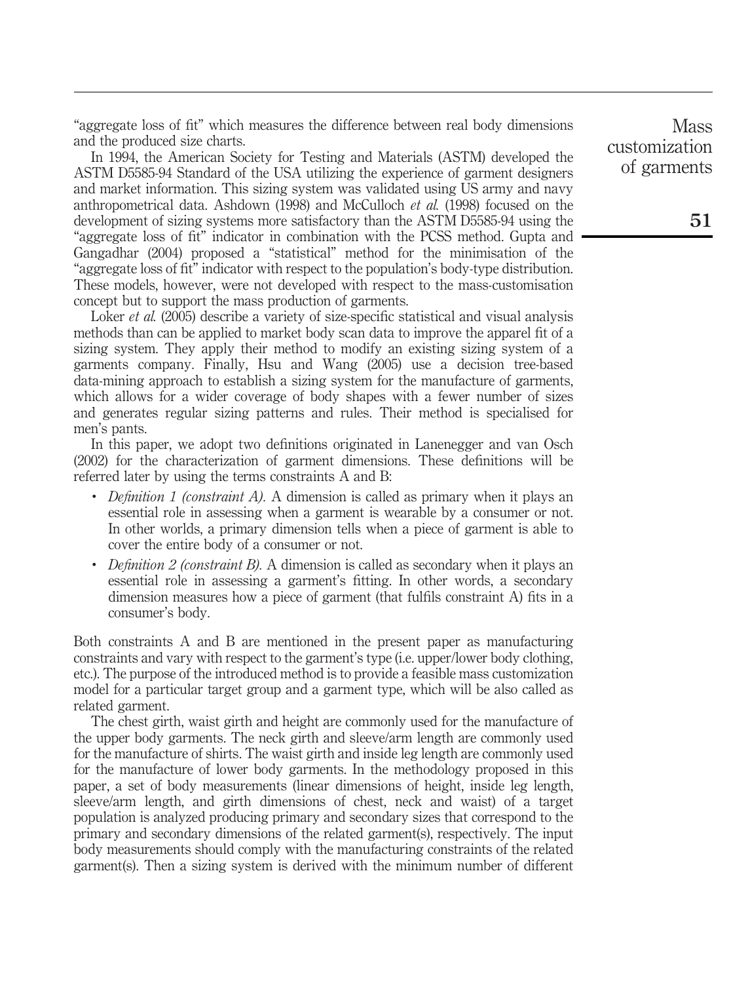"aggregate loss of fit" which measures the difference between real body dimensions and the produced size charts.

In 1994, the American Society for Testing and Materials (ASTM) developed the ASTM D5585-94 Standard of the USA utilizing the experience of garment designers and market information. This sizing system was validated using US army and navy anthropometrical data. Ashdown (1998) and McCulloch et al. (1998) focused on the development of sizing systems more satisfactory than the ASTM D5585-94 using the "aggregate loss of fit" indicator in combination with the PCSS method. Gupta and Gangadhar (2004) proposed a "statistical" method for the minimisation of the "aggregate loss of fit" indicator with respect to the population's body-type distribution. These models, however, were not developed with respect to the mass-customisation concept but to support the mass production of garments.

Loker *et al.* (2005) describe a variety of size-specific statistical and visual analysis methods than can be applied to market body scan data to improve the apparel fit of a sizing system. They apply their method to modify an existing sizing system of a garments company. Finally, Hsu and Wang (2005) use a decision tree-based data-mining approach to establish a sizing system for the manufacture of garments, which allows for a wider coverage of body shapes with a fewer number of sizes and generates regular sizing patterns and rules. Their method is specialised for men's pants.

In this paper, we adopt two definitions originated in Lanenegger and van Osch (2002) for the characterization of garment dimensions. These definitions will be referred later by using the terms constraints A and B:

- *Definition 1 (constraint A).* A dimension is called as primary when it plays an essential role in assessing when a garment is wearable by a consumer or not. In other worlds, a primary dimension tells when a piece of garment is able to cover the entire body of a consumer or not.
- Definition 2 (constraint B). A dimension is called as secondary when it plays an essential role in assessing a garment's fitting. In other words, a secondary dimension measures how a piece of garment (that fulfils constraint A) fits in a consumer's body.

Both constraints A and B are mentioned in the present paper as manufacturing constraints and vary with respect to the garment's type (i.e. upper/lower body clothing, etc.). The purpose of the introduced method is to provide a feasible mass customization model for a particular target group and a garment type, which will be also called as related garment.

The chest girth, waist girth and height are commonly used for the manufacture of the upper body garments. The neck girth and sleeve/arm length are commonly used for the manufacture of shirts. The waist girth and inside leg length are commonly used for the manufacture of lower body garments. In the methodology proposed in this paper, a set of body measurements (linear dimensions of height, inside leg length, sleeve/arm length, and girth dimensions of chest, neck and waist) of a target population is analyzed producing primary and secondary sizes that correspond to the primary and secondary dimensions of the related garment(s), respectively. The input body measurements should comply with the manufacturing constraints of the related garment(s). Then a sizing system is derived with the minimum number of different

Mass customization of garments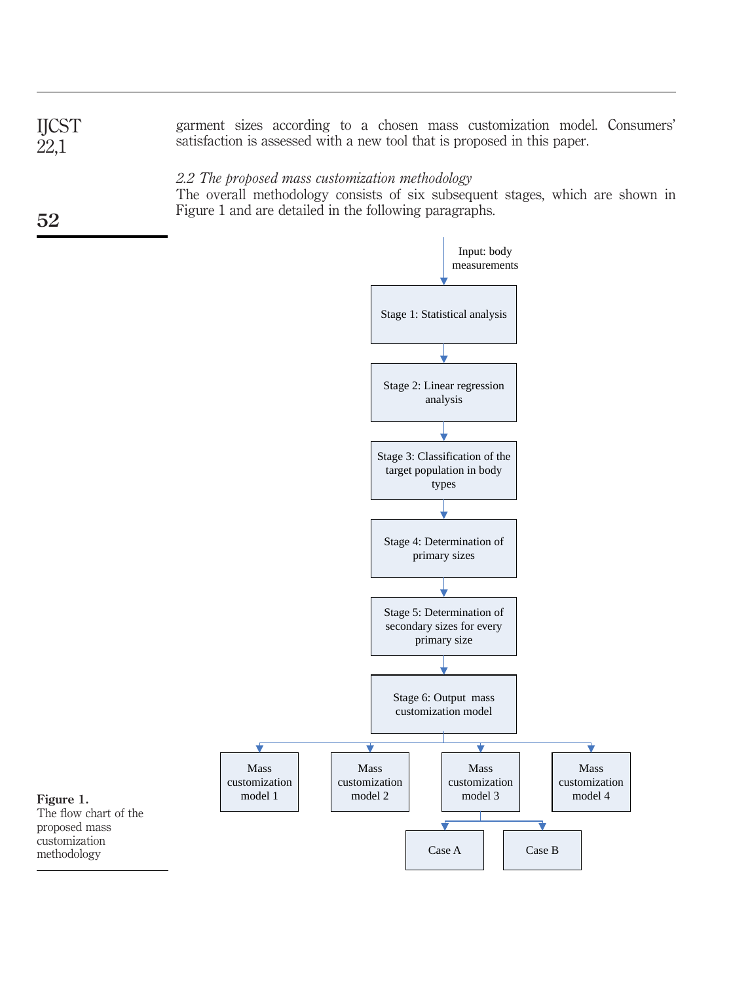garment sizes according to a chosen mass customization model. Consumers' satisfaction is assessed with a new tool that is proposed in this paper. IJCST 22,1

# 2.2 The proposed mass customization methodology

The overall methodology consists of six subsequent stages, which are shown in Figure 1 and are detailed in the following paragraphs.



52

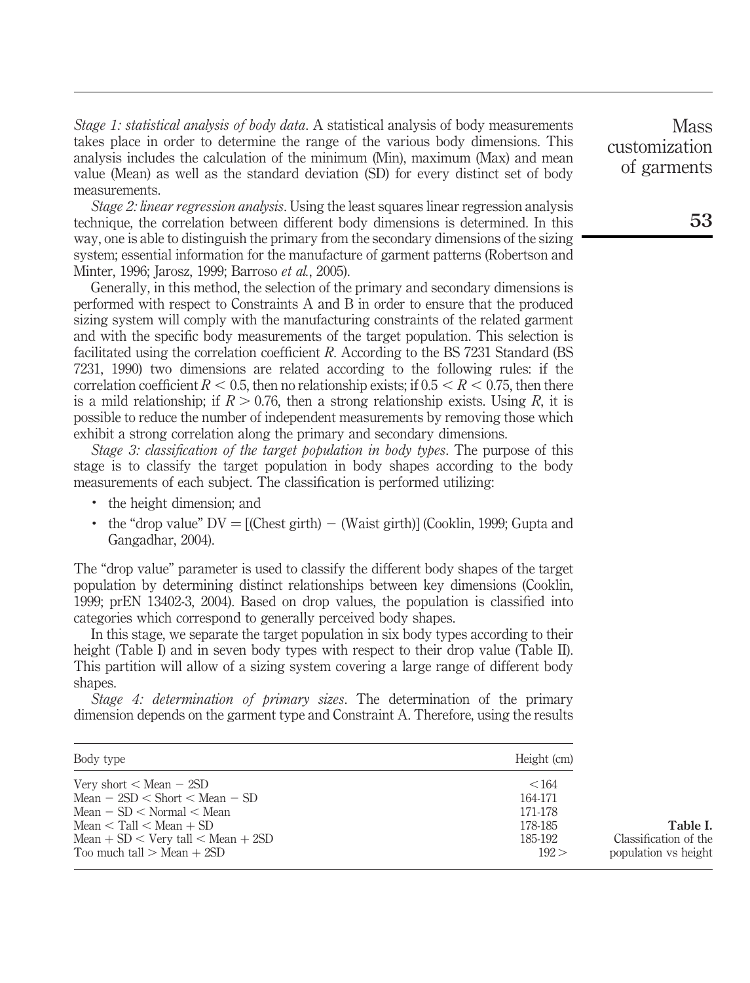Stage 1: statistical analysis of body data. A statistical analysis of body measurements takes place in order to determine the range of the various body dimensions. This analysis includes the calculation of the minimum (Min), maximum (Max) and mean value (Mean) as well as the standard deviation (SD) for every distinct set of body measurements.

Stage 2: linear regression analysis. Using the least squares linear regression analysis technique, the correlation between different body dimensions is determined. In this way, one is able to distinguish the primary from the secondary dimensions of the sizing system; essential information for the manufacture of garment patterns (Robertson and Minter, 1996; Jarosz, 1999; Barroso et al., 2005).

Generally, in this method, the selection of the primary and secondary dimensions is performed with respect to Constraints A and B in order to ensure that the produced sizing system will comply with the manufacturing constraints of the related garment and with the specific body measurements of the target population. This selection is facilitated using the correlation coefficient R. According to the BS 7231 Standard (BS 7231, 1990) two dimensions are related according to the following rules: if the correlation coefficient  $R < 0.5$ , then no relationship exists; if  $0.5 < R < 0.75$ , then there is a mild relationship; if  $R > 0.76$ , then a strong relationship exists. Using R, it is possible to reduce the number of independent measurements by removing those which exhibit a strong correlation along the primary and secondary dimensions.

Stage 3: classification of the target population in body types. The purpose of this stage is to classify the target population in body shapes according to the body measurements of each subject. The classification is performed utilizing:

- . the height dimension; and
- the "drop value"  $DV = [(\text{Chest girth}) (\text{Waist girth})]$  (Cooklin, 1999; Gupta and Gangadhar, 2004).

The "drop value" parameter is used to classify the different body shapes of the target population by determining distinct relationships between key dimensions (Cooklin, 1999; prEN 13402-3, 2004). Based on drop values, the population is classified into categories which correspond to generally perceived body shapes.

In this stage, we separate the target population in six body types according to their height (Table I) and in seven body types with respect to their drop value (Table II). This partition will allow of a sizing system covering a large range of different body shapes.

Stage 4: determination of primary sizes. The determination of the primary dimension depends on the garment type and Constraint A. Therefore, using the results

| Body type                                | Height (cm) |                       |
|------------------------------------------|-------------|-----------------------|
| Very short $<$ Mean $-$ 2SD              | $\leq 164$  |                       |
| Mean $-2SD <$ Short $<$ Mean $-SD$       | 164-171     |                       |
| $Mean - SD < Normal < Mean$              | 171-178     |                       |
| $Mean < Tall < Mean + SD$                | 178-185     | Table I.              |
| $Mean + SD <$ Very tall $<$ Mean $+$ 2SD | 185-192     | Classification of the |
| Too much tall $>$ Mean $+$ 2SD           | 192 >       | population vs height  |

Mass customization of garments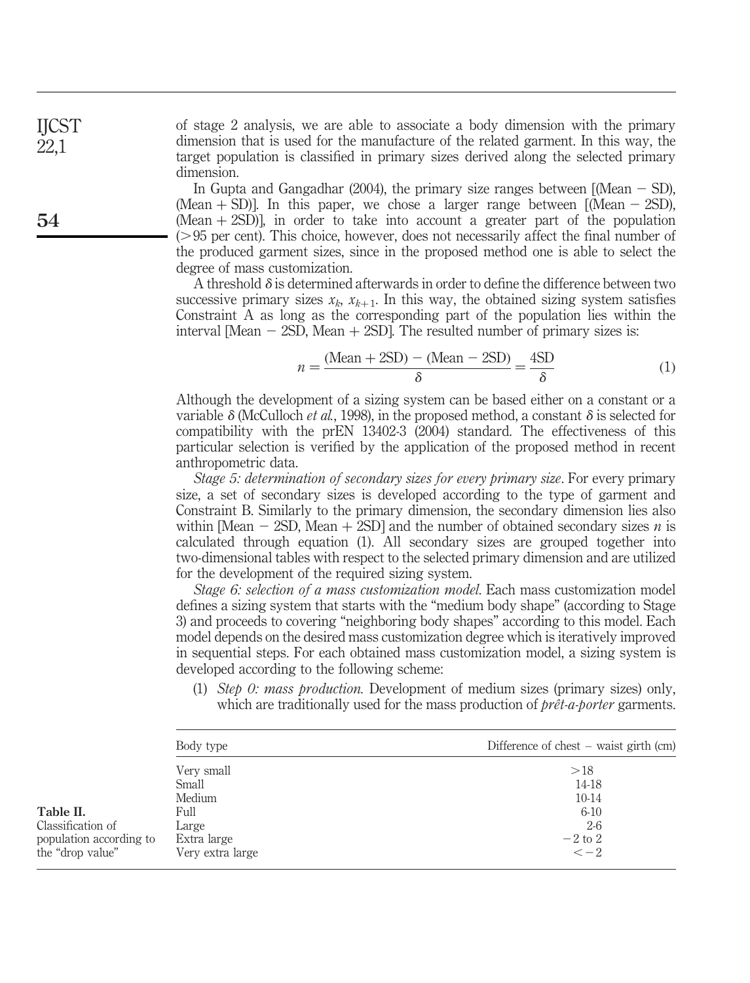of stage 2 analysis, we are able to associate a body dimension with the primary dimension that is used for the manufacture of the related garment. In this way, the target population is classified in primary sizes derived along the selected primary dimension.

In Gupta and Gangadhar (2004), the primary size ranges between  $\lceil$  (Mean  $-$  SD), (Mean  $+$  SD)]. In this paper, we chose a larger range between [(Mean  $-$  2SD), (Mean  $+$  2SD)], in order to take into account a greater part of the population  $(>= 95$  per cent). This choice, however, does not necessarily affect the final number of the produced garment sizes, since in the proposed method one is able to select the degree of mass customization.

A threshold  $\delta$  is determined afterwards in order to define the difference between two successive primary sizes  $x_k$ ,  $x_{k+1}$ . In this way, the obtained sizing system satisfies Constraint A as long as the corresponding part of the population lies within the interval [Mean  $-$  2SD, Mean  $+$  2SD]. The resulted number of primary sizes is:

$$
n = \frac{(\text{Mean} + 2\text{SD}) - (\text{Mean} - 2\text{SD})}{\delta} = \frac{4\text{SD}}{\delta} \tag{1}
$$

Although the development of a sizing system can be based either on a constant or a variable  $\delta$  (McCulloch *et al.*, 1998), in the proposed method, a constant  $\delta$  is selected for compatibility with the prEN 13402-3 (2004) standard. The effectiveness of this particular selection is verified by the application of the proposed method in recent anthropometric data.

Stage 5: determination of secondary sizes for every primary size. For every primary size, a set of secondary sizes is developed according to the type of garment and Constraint B. Similarly to the primary dimension, the secondary dimension lies also within [Mean  $-$  2SD, Mean  $+$  2SD] and the number of obtained secondary sizes n is calculated through equation (1). All secondary sizes are grouped together into two-dimensional tables with respect to the selected primary dimension and are utilized for the development of the required sizing system.

Stage 6: selection of a mass customization model. Each mass customization model defines a sizing system that starts with the "medium body shape" (according to Stage 3) and proceeds to covering "neighboring body shapes" according to this model. Each model depends on the desired mass customization degree which is iteratively improved in sequential steps. For each obtained mass customization model, a sizing system is developed according to the following scheme:

(1) Step 0: mass production. Development of medium sizes (primary sizes) only, which are traditionally used for the mass production of  $\hat{p}\hat{r}\hat{e}t$ -a-porter garments.

|                         | Body type        | Difference of chest $-$ waist girth (cm) |
|-------------------------|------------------|------------------------------------------|
|                         | Very small       | >18                                      |
|                         | Small            | 14-18                                    |
|                         | Medium           | 10-14                                    |
| Table II.               | Full             | $6-10$                                   |
| Classification of       | Large            | $2-6$                                    |
| population according to | Extra large      | $-2$ to 2                                |
| the "drop value"        | Very extra large | $<-2$                                    |

54

**IJCST** 22,1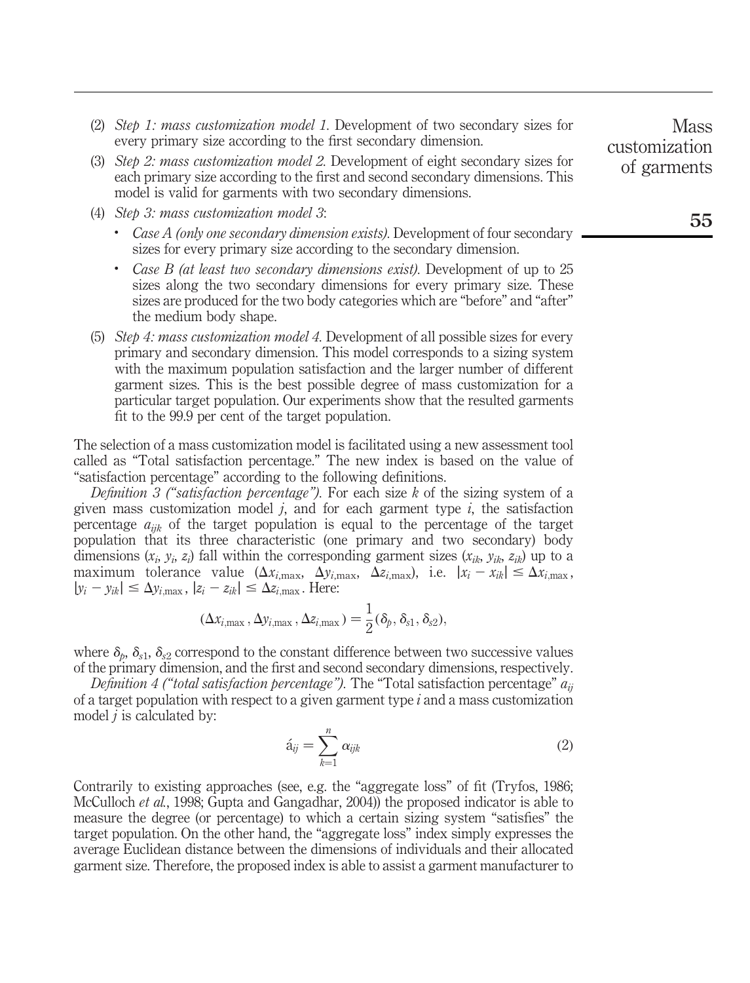- (2) Step 1: mass customization model 1. Development of two secondary sizes for every primary size according to the first secondary dimension.
- (3) Step 2: mass customization model 2. Development of eight secondary sizes for each primary size according to the first and second secondary dimensions. This model is valid for garments with two secondary dimensions.
- (4) Step 3: mass customization model 3:
	- . Case A (only one secondary dimension exists). Development of four secondary sizes for every primary size according to the secondary dimension.
	- . Case B (at least two secondary dimensions exist). Development of up to 25 sizes along the two secondary dimensions for every primary size. These sizes are produced for the two body categories which are "before" and "after" the medium body shape.
- (5) Step 4: mass customization model 4. Development of all possible sizes for every primary and secondary dimension. This model corresponds to a sizing system with the maximum population satisfaction and the larger number of different garment sizes. This is the best possible degree of mass customization for a particular target population. Our experiments show that the resulted garments fit to the 99.9 per cent of the target population.

The selection of a mass customization model is facilitated using a new assessment tool called as "Total satisfaction percentage." The new index is based on the value of "satisfaction percentage" according to the following definitions.

Definition 3 ("satisfaction percentage"). For each size  $k$  of the sizing system of a given mass customization model  $j$ , and for each garment type  $i$ , the satisfaction percentage  $a_{ijk}$  of the target population is equal to the percentage of the target population that its three characteristic (one primary and two secondary) body dimensions  $(x_i, y_i, z_i)$  fall within the corresponding garment sizes  $(x_{ik}, y_{ik}, z_{ik})$  up to a maximum tolerance value  $(\Delta x_{i,\text{max}}, \Delta y_{i,\text{max}}, \Delta z_{i,\text{max}})$ , i.e.  $|x_i - x_{ik}| \leq \Delta x_{i,\text{max}}$ ,  $|y_i - y_{ik}| \leq \Delta y_{i,\text{max}}$ ,  $|z_i - z_{ik}| \leq \Delta z_{i,\text{max}}$ . Here:

$$
(\Delta x_{i,\max}, \Delta y_{i,\max}, \Delta z_{i,\max}) = \frac{1}{2}(\delta_{\beta}, \delta_{s1}, \delta_{s2}),
$$

where  $\delta_{p}$ ,  $\delta_{s1}$ ,  $\delta_{s2}$  correspond to the constant difference between two successive values of the primary dimension, and the first and second secondary dimensions, respectively.

Definition 4 ("total satisfaction percentage"). The "Total satisfaction percentage"  $a_{ii}$ of a target population with respect to a given garment type  $i$  and a mass customization model  $j$  is calculated by:

$$
\acute{a}_{ij} = \sum_{k=1}^{n} \alpha_{ijk} \tag{2}
$$

Contrarily to existing approaches (see, e.g. the "aggregate loss" of fit (Tryfos, 1986; McCulloch et al., 1998; Gupta and Gangadhar, 2004)) the proposed indicator is able to measure the degree (or percentage) to which a certain sizing system "satisfies" the target population. On the other hand, the "aggregate loss" index simply expresses the average Euclidean distance between the dimensions of individuals and their allocated garment size. Therefore, the proposed index is able to assist a garment manufacturer to

Mass customization of garments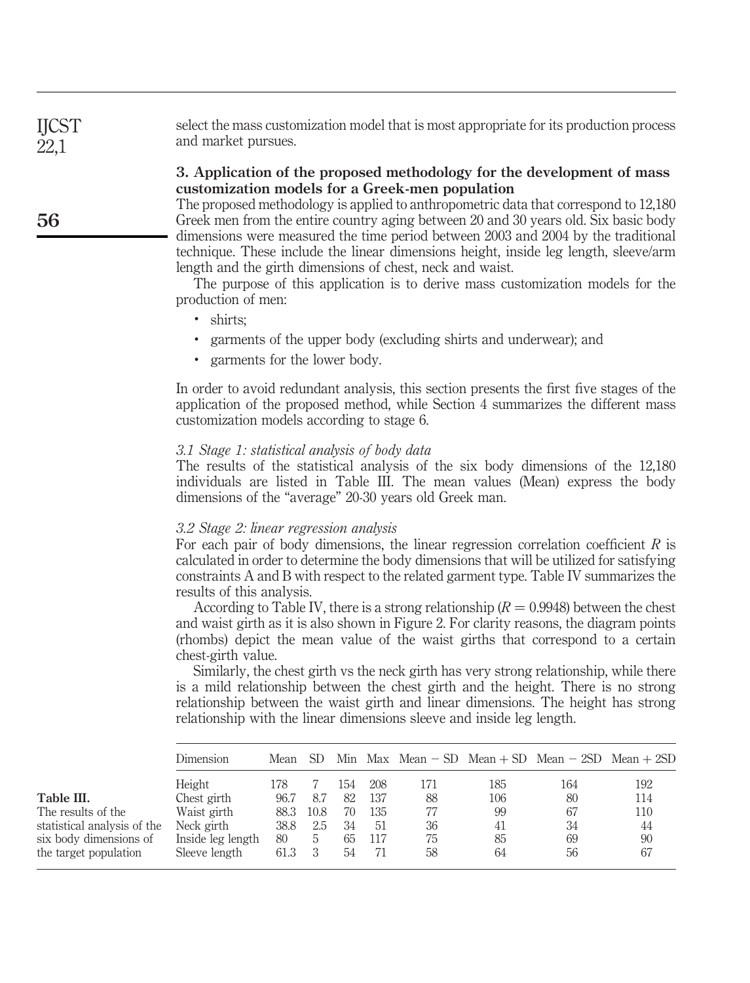select the mass customization model that is most appropriate for its production process and market pursues. IJCST 22,1

# 3. Application of the proposed methodology for the development of mass customization models for a Greek-men population

The proposed methodology is applied to anthropometric data that correspond to 12,180 Greek men from the entire country aging between 20 and 30 years old. Six basic body dimensions were measured the time period between 2003 and 2004 by the traditional technique. These include the linear dimensions height, inside leg length, sleeve/arm length and the girth dimensions of chest, neck and waist.

The purpose of this application is to derive mass customization models for the production of men:

- . shirts;
- . garments of the upper body (excluding shirts and underwear); and
- . garments for the lower body.

In order to avoid redundant analysis, this section presents the first five stages of the application of the proposed method, while Section 4 summarizes the different mass customization models according to stage 6.

### 3.1 Stage 1: statistical analysis of body data

The results of the statistical analysis of the six body dimensions of the 12,180 individuals are listed in Table III. The mean values (Mean) express the body dimensions of the "average" 20-30 years old Greek man.

### 3.2 Stage 2: linear regression analysis

For each pair of body dimensions, the linear regression correlation coefficient  $R$  is calculated in order to determine the body dimensions that will be utilized for satisfying constraints A and B with respect to the related garment type. Table IV summarizes the results of this analysis.

According to Table IV, there is a strong relationship  $(R = 0.9948)$  between the chest and waist girth as it is also shown in Figure 2. For clarity reasons, the diagram points (rhombs) depict the mean value of the waist girths that correspond to a certain chest-girth value.

Similarly, the chest girth vs the neck girth has very strong relationship, while there is a mild relationship between the chest girth and the height. There is no strong relationship between the waist girth and linear dimensions. The height has strong relationship with the linear dimensions sleeve and inside leg length.

|                             | Dimension         | Mean | SD.  |     |     |     |     | Min Max Mean $-$ SD Mean $+$ SD Mean $-$ 2SD Mean $+$ 2SD |     |
|-----------------------------|-------------------|------|------|-----|-----|-----|-----|-----------------------------------------------------------|-----|
|                             | Height            | 178  |      | 154 | 208 | 171 | 185 | 164                                                       | 192 |
| Table III.                  | Chest girth       | 96.7 |      | 82  | 137 | 88  | 106 | 80                                                        | 114 |
| The results of the          | Waist girth       | 88.3 | 10.8 | 70  | 135 | 77  | 99  | 67                                                        | 110 |
| statistical analysis of the | Neck girth        | 38.8 | 2.5  | 34  | 51  | 36  | 41  | 34                                                        | 44  |
| six body dimensions of      | Inside leg length | 80   |      | 65  | 117 | 75  | 85  | 69                                                        | 90  |
| the target population       | Sleeve length     | 61.3 |      | 54  | 71  | 58  | 64  | 56                                                        | 67  |

56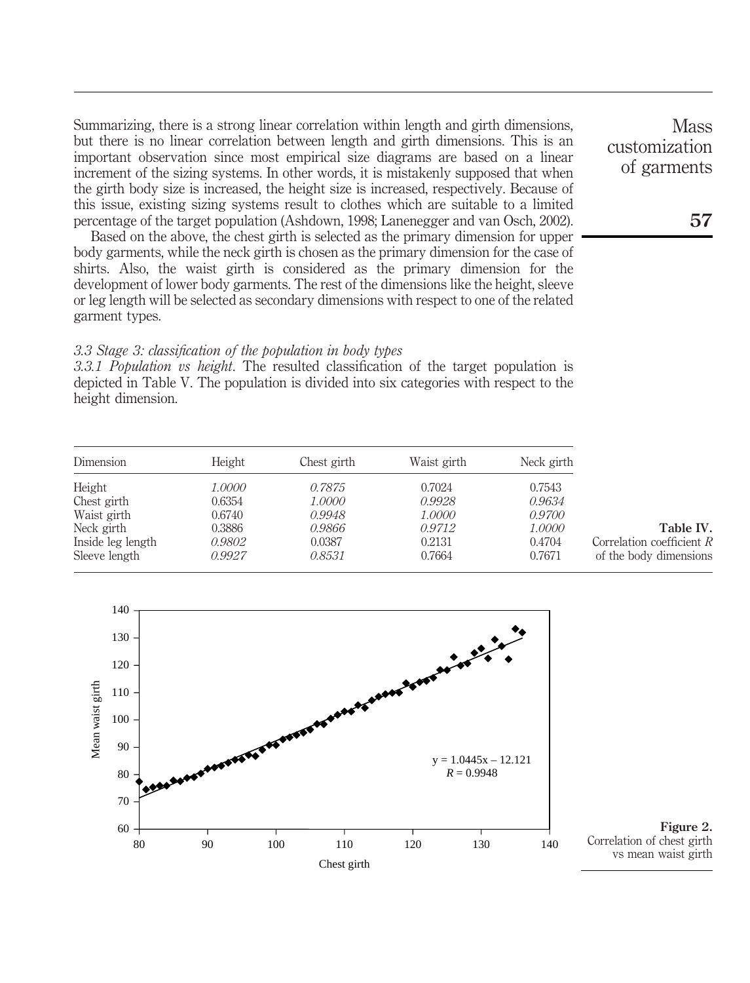Summarizing, there is a strong linear correlation within length and girth dimensions, but there is no linear correlation between length and girth dimensions. This is an important observation since most empirical size diagrams are based on a linear increment of the sizing systems. In other words, it is mistakenly supposed that when the girth body size is increased, the height size is increased, respectively. Because of this issue, existing sizing systems result to clothes which are suitable to a limited percentage of the target population (Ashdown, 1998; Lanenegger and van Osch, 2002).

Based on the above, the chest girth is selected as the primary dimension for upper body garments, while the neck girth is chosen as the primary dimension for the case of shirts. Also, the waist girth is considered as the primary dimension for the development of lower body garments. The rest of the dimensions like the height, sleeve or leg length will be selected as secondary dimensions with respect to one of the related garment types.

# 3.3 Stage 3: classification of the population in body types

3.3.1 Population vs height. The resulted classification of the target population is depicted in Table V. The population is divided into six categories with respect to the height dimension.

| Dimension         | Height        | Chest girth | Waist girth | Neck girth |                             |
|-------------------|---------------|-------------|-------------|------------|-----------------------------|
| Height            | <i>1.0000</i> | 0.7875      | 0.7024      | 0.7543     |                             |
| Chest girth       | 0.6354        | 1.0000      | 0.9928      | 0.9634     |                             |
| Waist girth       | 0.6740        | 0.9948      | 1.0000      | 0.9700     |                             |
| Neck girth        | 0.3886        | 0.9866      | 0.9712      | 1.0000     | Table IV.                   |
| Inside leg length | 0.9802        | 0.0387      | 0.2131      | 0.4704     | Correlation coefficient $R$ |
| Sleeve length     | 0.9927        | 0.8531      | 0.7664      | 0.7671     | of the body dimensions      |



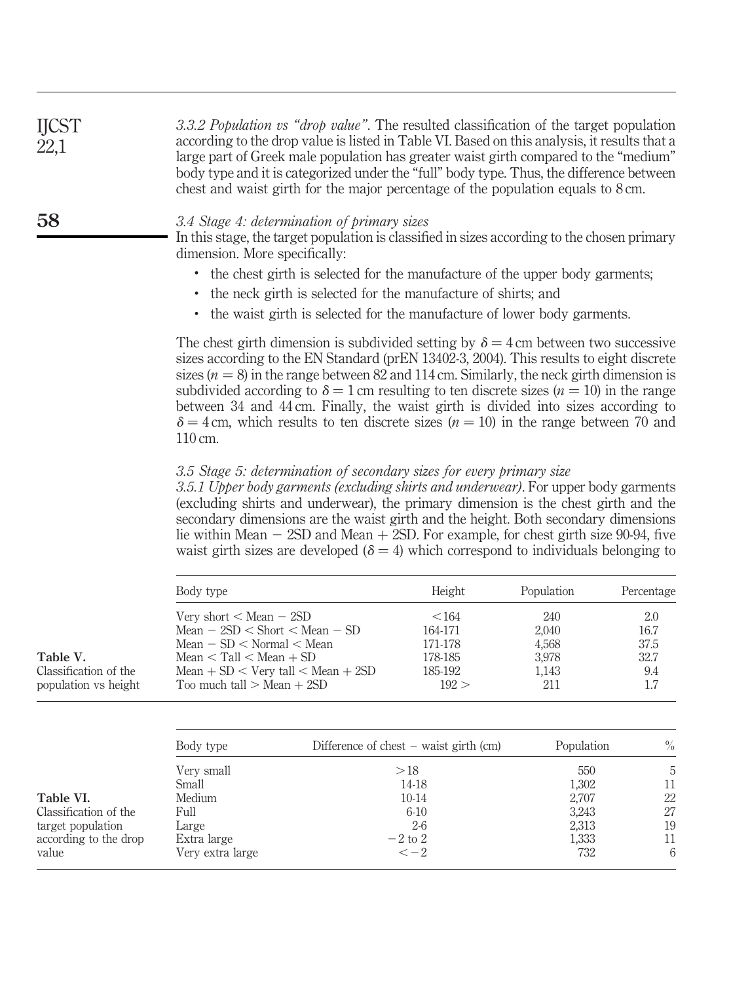3.3.2 Population vs "drop value". The resulted classification of the target population according to the drop value is listed in Table VI. Based on this analysis, it results that a large part of Greek male population has greater waist girth compared to the "medium" body type and it is categorized under the "full" body type. Thus, the difference between chest and waist girth for the major percentage of the population equals to 8 cm.

# 3.4 Stage 4: determination of primary sizes

In this stage, the target population is classified in sizes according to the chosen primary dimension. More specifically:

- . the chest girth is selected for the manufacture of the upper body garments;
- . the neck girth is selected for the manufacture of shirts; and
- . the waist girth is selected for the manufacture of lower body garments.

The chest girth dimension is subdivided setting by  $\delta = 4$  cm between two successive sizes according to the EN Standard (prEN 13402-3, 2004). This results to eight discrete sizes  $(n = 8)$  in the range between 82 and 114 cm. Similarly, the neck girth dimension is subdivided according to  $\delta = 1$  cm resulting to ten discrete sizes ( $n = 10$ ) in the range between 34 and 44 cm. Finally, the waist girth is divided into sizes according to  $\delta = 4$  cm, which results to ten discrete sizes ( $n = 10$ ) in the range between 70 and 110 cm.

### 3.5 Stage 5: determination of secondary sizes for every primary size

3.5.1 Upper body garments (excluding shirts and underwear). For upper body garments (excluding shirts and underwear), the primary dimension is the chest girth and the secondary dimensions are the waist girth and the height. Both secondary dimensions lie within Mean  $-$  2SD and Mean  $+$  2SD. For example, for chest girth size 90-94, five waist girth sizes are developed  $(\delta = 4)$  which correspond to individuals belonging to

|                  | Body type                                  | Height  | Population | Percentage |
|------------------|--------------------------------------------|---------|------------|------------|
|                  | Very short $<$ Mean $-$ 2SD                | < 164   | 240        | 2.0        |
|                  | $Mean - 2SD < Short < Mean - SD$           | 164-171 | 2,040      | 16.7       |
|                  | $Mean - SD < Normal < Mean$                | 171-178 | 4,568      | 37.5       |
| e V.             | $Mean < Tall < Mean + SD$                  | 178-185 | 3,978      | 32.7       |
| ification of the | Mean $+$ SD $<$ Very tall $<$ Mean $+$ 2SD | 185-192 | 1,143      | 9.4        |
| lation vs height | Too much tall $>$ Mean $+$ 2SD             | 192 >   | 211        | 1.7        |

| rapie v.              |
|-----------------------|
| Classification of the |
| population vs height  |

T<sub>ob</sub>l

|                       | Body type        | Difference of chest $-$ waist girth (cm) | Population | $\%$ |
|-----------------------|------------------|------------------------------------------|------------|------|
|                       | Very small       | >18                                      | 550        | 5    |
|                       | Small            | 14-18                                    | 1,302      | 11   |
| Table VI.             | Medium           | 10-14                                    | 2.707      | 22   |
| Classification of the | Full             | $6-10$                                   | 3,243      | 27   |
| target population     | Large            | $2-6$                                    | 2,313      | 19   |
| according to the drop | Extra large      | $-2$ to 2                                | 1,333      | 11   |
| value                 | Very extra large | $<-2$                                    | 732        | 6    |

**IJCST** 22,1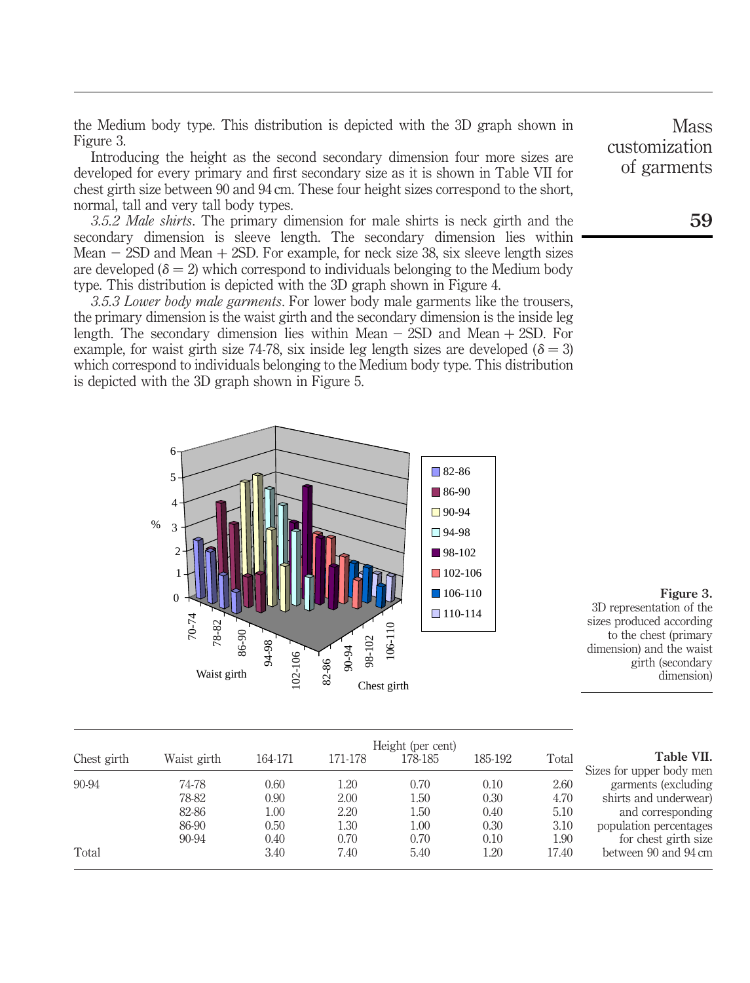the Medium body type. This distribution is depicted with the 3D graph shown in Figure 3.

Introducing the height as the second secondary dimension four more sizes are developed for every primary and first secondary size as it is shown in Table VII for chest girth size between 90 and 94 cm. These four height sizes correspond to the short, normal, tall and very tall body types.

3.5.2 Male shirts. The primary dimension for male shirts is neck girth and the secondary dimension is sleeve length. The secondary dimension lies within Mean  $-$  2SD and Mean  $+$  2SD. For example, for neck size 38, six sleeve length sizes are developed ( $\delta = 2$ ) which correspond to individuals belonging to the Medium body type. This distribution is depicted with the 3D graph shown in Figure 4.

3.5.3 Lower body male garments. For lower body male garments like the trousers, the primary dimension is the waist girth and the secondary dimension is the inside leg length. The secondary dimension lies within Mean  $-$  2SD and Mean  $+$  2SD. For example, for waist girth size 74-78, six inside leg length sizes are developed  $(\delta = 3)$ which correspond to individuals belonging to the Medium body type. This distribution is depicted with the 3D graph shown in Figure 5.





| Chest girth | Waist girth | 164-171 | 171-178 | Height (per cent)<br>178-185 | 185-192 | Total | Table VII.                                      |
|-------------|-------------|---------|---------|------------------------------|---------|-------|-------------------------------------------------|
| $90-94$     | 74-78       | 0.60    | 1.20    | 0.70                         | 0.10    | 2.60  | Sizes for upper body men<br>garments (excluding |
|             | 78-82       | 0.90    | 2.00    | 1.50                         | 0.30    | 4.70  | shirts and underwear)                           |
|             | 82-86       | 1.00    | 2.20    | 1.50                         | 0.40    | 5.10  | and corresponding                               |
|             | 86-90       | 0.50    | 1.30    | $1.00\,$                     | 0.30    | 3.10  | population percentages                          |
|             | 90-94       | 0.40    | 0.70    | 0.70                         | 0.10    | 1.90  | for chest girth size                            |
| Total       |             | 3.40    | 7.40    | 5.40                         | 1.20    | 17.40 | between 90 and 94 cm                            |

Mass customization of garments

59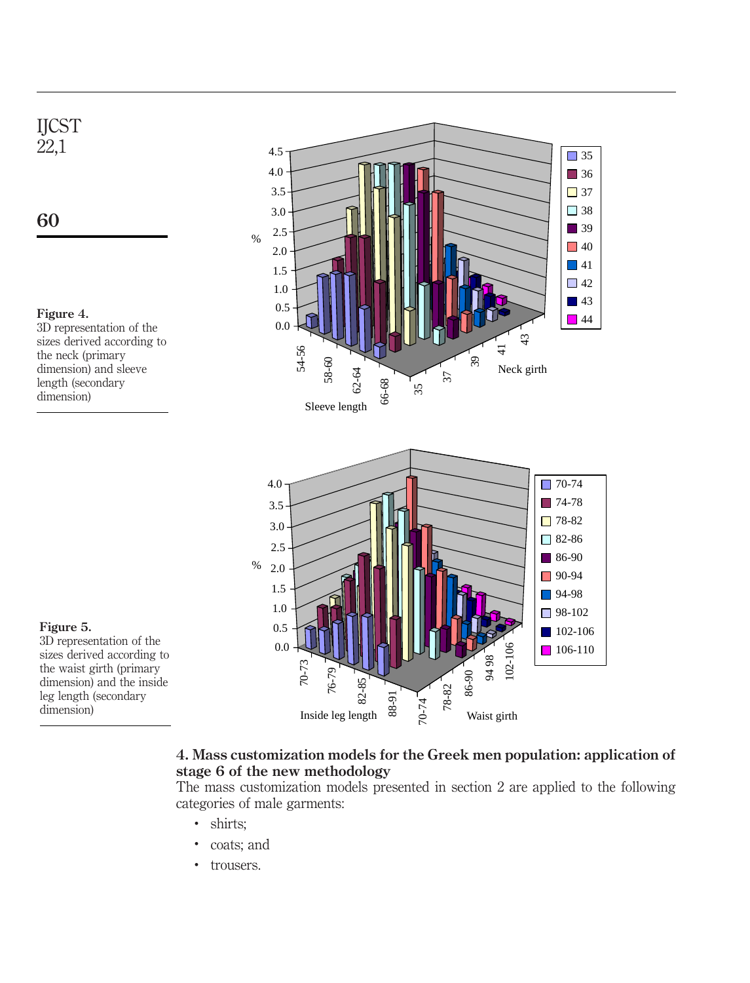# IJCST 22,1

60

Figure 4.

3D representation of the sizes derived according to the neck (primary dimension) and sleeve length (secondary dimension)



#### Figure 5. 3D representation of the

sizes derived according to the waist girth (primary dimension) and the inside leg length (secondary dimension)

# 4. Mass customization models for the Greek men population: application of stage 6 of the new methodology

The mass customization models presented in section 2 are applied to the following categories of male garments:

- . shirts;
- . coats; and
- . trousers.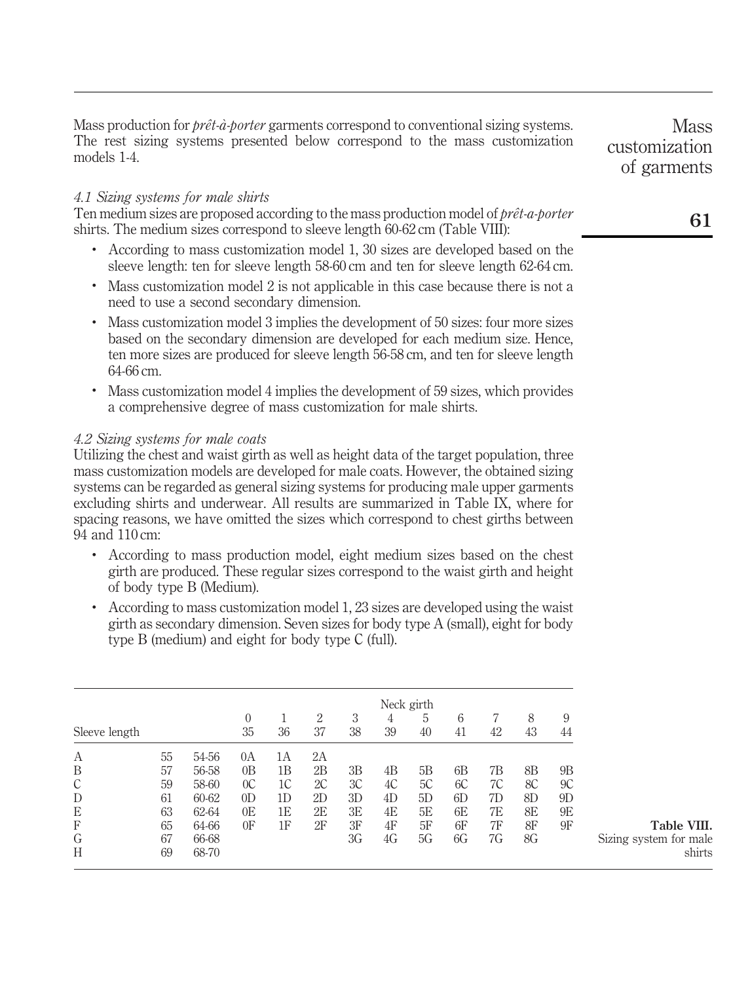Mass production for  $\hat{pret} \cdot \hat{a}$ -porter garments correspond to conventional sizing systems. The rest sizing systems presented below correspond to the mass customization models 1-4.

# 4.1 Sizing systems for male shirts

Ten medium sizes are proposed according to the mass production model of  $\hat{pr}et-a\text{-}borter$ shirts. The medium sizes correspond to sleeve length 60-62 cm (Table VIII):

- . According to mass customization model 1, 30 sizes are developed based on the sleeve length: ten for sleeve length 58-60 cm and ten for sleeve length 62-64 cm.
- . Mass customization model 2 is not applicable in this case because there is not a need to use a second secondary dimension.
- . Mass customization model 3 implies the development of 50 sizes: four more sizes based on the secondary dimension are developed for each medium size. Hence, ten more sizes are produced for sleeve length 56-58 cm, and ten for sleeve length 64-66 cm.
- . Mass customization model 4 implies the development of 59 sizes, which provides a comprehensive degree of mass customization for male shirts.

# 4.2 Sizing systems for male coats

Utilizing the chest and waist girth as well as height data of the target population, three mass customization models are developed for male coats. However, the obtained sizing systems can be regarded as general sizing systems for producing male upper garments excluding shirts and underwear. All results are summarized in Table IX, where for spacing reasons, we have omitted the sizes which correspond to chest girths between 94 and 110 cm:

- . According to mass production model, eight medium sizes based on the chest girth are produced. These regular sizes correspond to the waist girth and height of body type B (Medium).
- . According to mass customization model 1, 23 sizes are developed using the waist girth as secondary dimension. Seven sizes for body type A (small), eight for body type B (medium) and eight for body type C (full).

| Sleeve length                                                                                              |                                                                      | $\theta$<br>35                               | 36                               | 2<br>37                          | 3<br>38                          | Neck girth<br>4<br>39            | 5<br>40                          | 6<br>41                          | 42                               | 8<br>43                          | 9<br>44                           |
|------------------------------------------------------------------------------------------------------------|----------------------------------------------------------------------|----------------------------------------------|----------------------------------|----------------------------------|----------------------------------|----------------------------------|----------------------------------|----------------------------------|----------------------------------|----------------------------------|-----------------------------------|
| А<br>55<br>B<br>57<br>$\mathcal{C}$<br>59<br>D<br>61<br>E<br>63<br>$\mathbf F$<br>65<br>G<br>67<br>H<br>69 | 54-56<br>56-58<br>58-60<br>60-62<br>62-64<br>64-66<br>66-68<br>68-70 | 0A<br>0B<br>0C<br>0 <sub>D</sub><br>0E<br>0F | 1Α<br>1В<br>1C<br>1D<br>1E<br>1F | 2A<br>2B<br>2C<br>2D<br>2E<br>2F | 3B<br>3C<br>3D<br>3E<br>3F<br>3G | 4B<br>4C<br>4D<br>4E<br>4F<br>4G | 5B<br>5C<br>5D<br>5E<br>5F<br>5G | 6B<br>6C<br>6D<br>6E<br>6F<br>6G | 7B<br>7C<br>7D<br>7E<br>7F<br>7G | 8B<br>8C<br>8D<br>8E<br>8F<br>8G | 9B<br><b>9C</b><br>9D<br>9E<br>9F |

Mass customization of garments

Table VIII. Sizing system for male shirts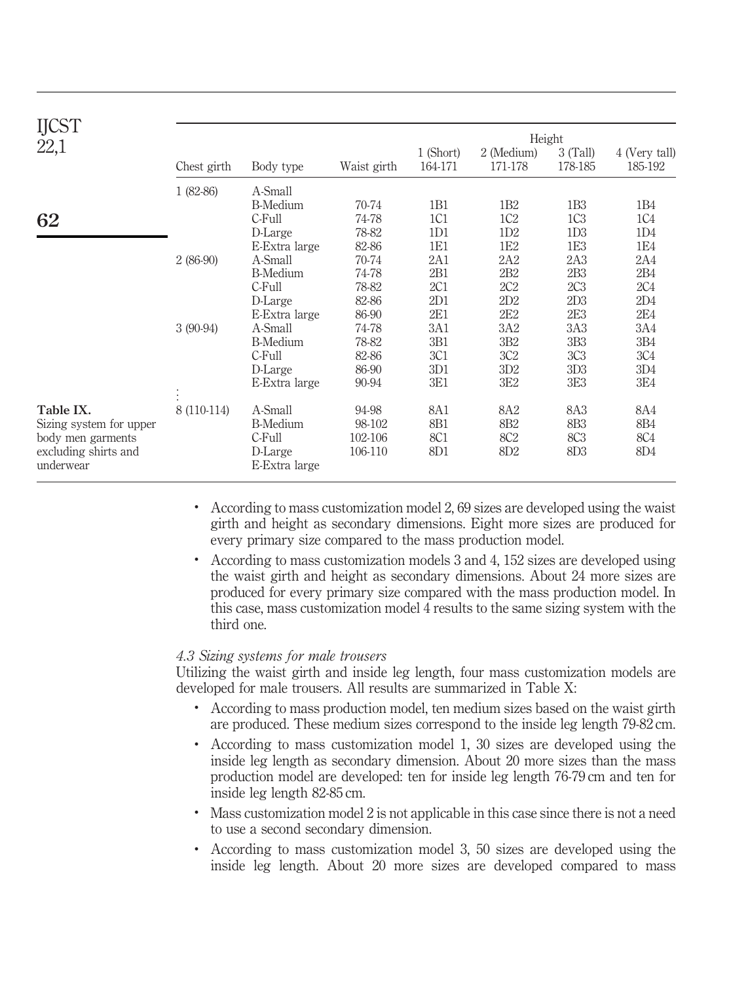| <b>IJCST</b><br>22,1              | Chest girth | Body type                | Waist girth | 1 (Short)<br>164-171 | Height<br>2 (Medium)<br>171-178 | 3 (Tall)<br>178-185 | 4 (Very tall)<br>185-192 |
|-----------------------------------|-------------|--------------------------|-------------|----------------------|---------------------------------|---------------------|--------------------------|
|                                   |             |                          |             |                      |                                 |                     |                          |
|                                   | $1(82-86)$  | A-Small                  |             |                      |                                 |                     |                          |
|                                   |             | <b>B-Medium</b>          | 70-74       | 1B1                  | 1B2                             | 1B3                 | 1B4                      |
| 62                                |             | C-Full                   | 74-78       | 1C1                  | 1C <sub>2</sub>                 | 1C <sub>3</sub>     | 1C4                      |
|                                   |             | D-Large                  | 78-82       | 1D1                  | 1D2                             | 1D3                 | 1D4                      |
|                                   |             | E-Extra large            | 82-86       | 1E1                  | 1E2                             | 1E3                 | <b>1E4</b>               |
|                                   | $2(86-90)$  | A-Small                  | 70-74       | 2A1                  | 2A2                             | 2A3                 | 2A4                      |
|                                   |             | <b>B-Medium</b>          | 74-78       | 2B1                  | 2B2                             | 2B3                 | 2B4                      |
|                                   |             | C-Full                   | 78-82       | 2C1                  | 2C2                             | 2C <sub>3</sub>     | 2C4                      |
|                                   |             | D-Large                  | 82-86       | 2D1                  | 2D2                             | 2D3                 | 2D4                      |
|                                   |             | E-Extra large            | 86-90       | 2E1                  | 2E2                             | 2E3                 | 2E4                      |
|                                   | $3(90-94)$  | A-Small                  | 74-78       | 3A1                  | 3A2                             | 3A3                 | 3A4                      |
|                                   |             | <b>B-Medium</b>          | 78-82       | 3B1                  | 3B2                             | 3B <sub>3</sub>     | 3B4                      |
|                                   |             | C-Full                   | 82-86       | 3C1                  | 3C2                             | 3C <sub>3</sub>     | 3C4                      |
|                                   |             | D-Large                  | 86-90       | 3D1                  | 3D2                             | 3D3                 | 3D4                      |
|                                   |             | E-Extra large            | 90-94       | 3E1                  | 3E2                             | 3E3                 | 3E4                      |
|                                   |             |                          |             |                      |                                 |                     |                          |
| Table IX.                         | 8 (110-114) | A-Small                  | 94-98       | 8A1                  | 8A2                             | 8A3                 | <b>8A4</b>               |
| Sizing system for upper           |             | <b>B-Medium</b>          | 98-102      | 8B1                  | 8B2                             | 8B3                 | 8B4                      |
| body men garments                 |             | C-Full                   | 102-106     | 8C <sub>1</sub>      | 8C <sub>2</sub>                 | <b>8C3</b>          | 8C4                      |
| excluding shirts and<br>underwear |             | D-Large<br>E-Extra large | 106-110     | 8D1                  | 8D2                             | 8D3                 | 8D4                      |

- . According to mass customization model 2, 69 sizes are developed using the waist girth and height as secondary dimensions. Eight more sizes are produced for every primary size compared to the mass production model.
- . According to mass customization models 3 and 4, 152 sizes are developed using the waist girth and height as secondary dimensions. About 24 more sizes are produced for every primary size compared with the mass production model. In this case, mass customization model 4 results to the same sizing system with the third one.

### 4.3 Sizing systems for male trousers

Utilizing the waist girth and inside leg length, four mass customization models are developed for male trousers. All results are summarized in Table X:

- . According to mass production model, ten medium sizes based on the waist girth are produced. These medium sizes correspond to the inside leg length 79-82 cm.
- . According to mass customization model 1, 30 sizes are developed using the inside leg length as secondary dimension. About 20 more sizes than the mass production model are developed: ten for inside leg length 76-79 cm and ten for inside leg length 82-85 cm.
- . Mass customization model 2 is not applicable in this case since there is not a need to use a second secondary dimension.
- . According to mass customization model 3, 50 sizes are developed using the inside leg length. About 20 more sizes are developed compared to mass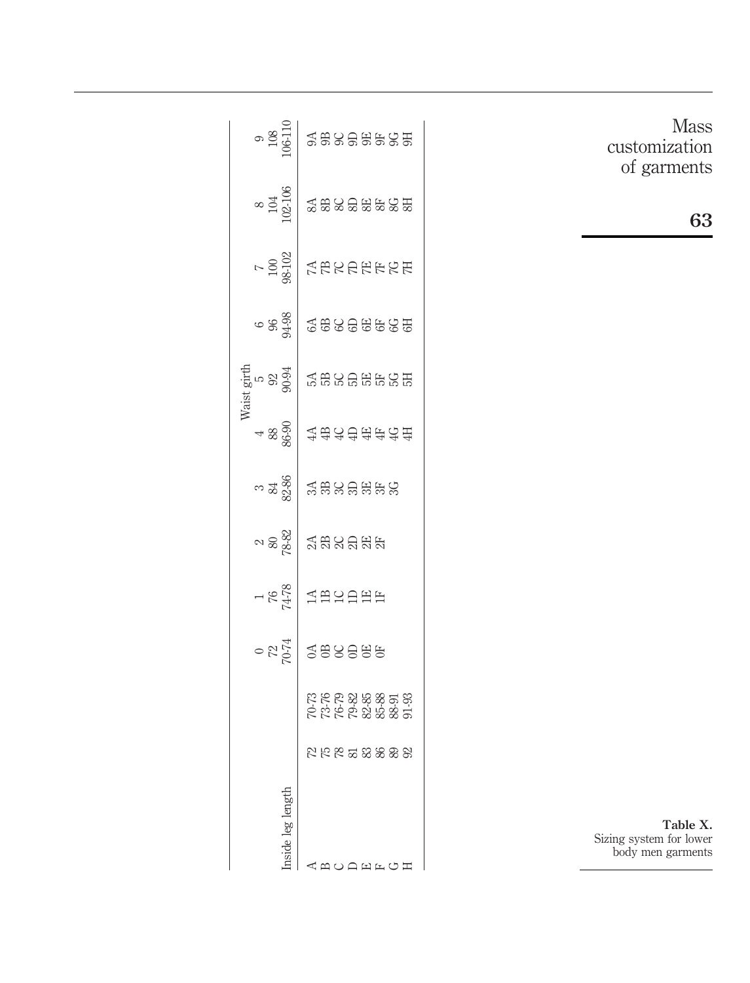|                 |                 |                                         |                    |               |                |             |          | Vais                   |                  |                          |                           |                 |
|-----------------|-----------------|-----------------------------------------|--------------------|---------------|----------------|-------------|----------|------------------------|------------------|--------------------------|---------------------------|-----------------|
|                 |                 |                                         |                    |               |                |             |          | girti<br>9294<br>90.94 |                  |                          |                           |                 |
|                 |                 |                                         |                    |               | $\frac{2}{80}$ |             | 48.90    |                        |                  |                          |                           | $\frac{9}{106}$ |
| nside leg lengt |                 |                                         | $\frac{72}{70.74}$ | $rac{1}{76}$  |                | ం జి.<br>సి |          |                        | 6<br>98<br>94.98 | $\frac{7}{100}$<br>8-102 | $\frac{8}{104}$<br>02-106 |                 |
|                 |                 |                                         | <b>SB88BB</b>      | <b>ABSOBE</b> | 弘迅汇加班          | 认出的出生的      | 社由お白由中お生 | <b>GB88BB85</b>        | 38888888         | <b>ABABAFAE</b>          | 38888888                  | <b>ABSABBSB</b> |
|                 |                 |                                         |                    |               |                |             |          |                        |                  |                          |                           |                 |
|                 | ア 下 で 乱 怒 % % % | 72623636535<br>7262363655<br>7262363655 |                    |               |                |             |          |                        |                  |                          |                           |                 |
|                 |                 |                                         |                    |               |                |             |          |                        |                  |                          |                           |                 |
| ㅁ               |                 |                                         |                    |               |                |             |          |                        |                  |                          |                           |                 |
| Ĺτ              |                 |                                         |                    |               |                |             |          |                        |                  |                          |                           |                 |
|                 |                 |                                         |                    |               |                |             |          |                        |                  |                          |                           |                 |
|                 |                 |                                         |                    |               |                |             |          |                        |                  |                          |                           |                 |
|                 |                 |                                         |                    |               |                |             |          |                        |                  |                          |                           |                 |

Mass customization of garments

63

Table X. Sizing system for lower body men garments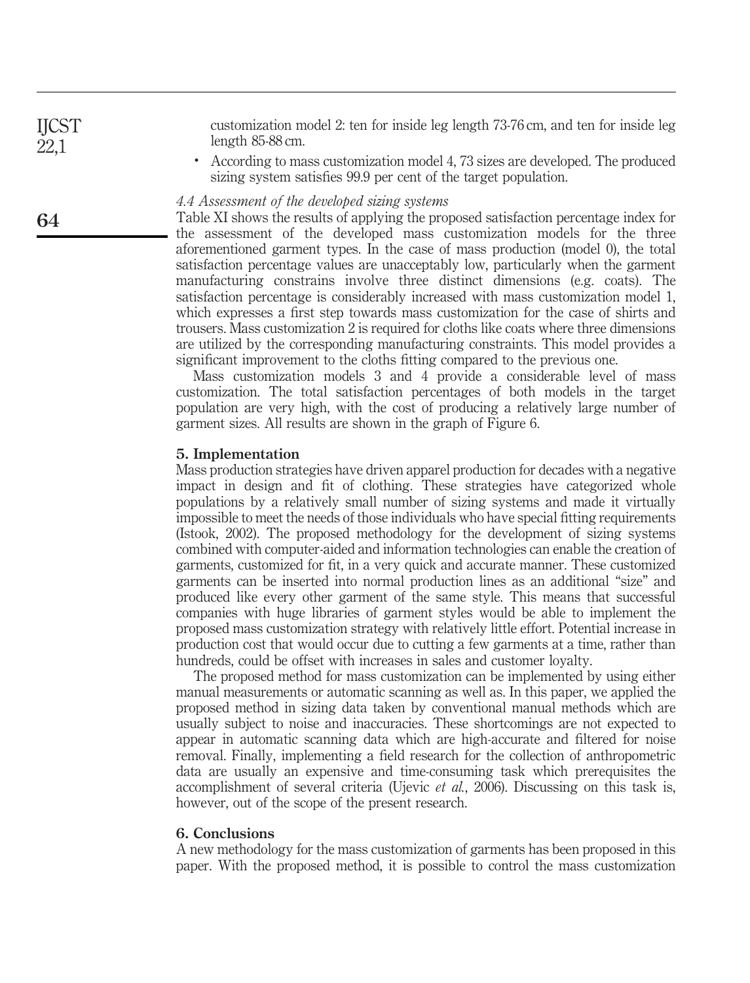IJCST 22,1

64

customization model 2: ten for inside leg length 73-76 cm, and ten for inside leg length 85-88 cm.

. According to mass customization model 4, 73 sizes are developed. The produced sizing system satisfies 99.9 per cent of the target population.

### 4.4 Assessment of the developed sizing systems

Table XI shows the results of applying the proposed satisfaction percentage index for the assessment of the developed mass customization models for the three aforementioned garment types. In the case of mass production (model 0), the total satisfaction percentage values are unacceptably low, particularly when the garment manufacturing constrains involve three distinct dimensions (e.g. coats). The satisfaction percentage is considerably increased with mass customization model 1, which expresses a first step towards mass customization for the case of shirts and trousers. Mass customization 2 is required for cloths like coats where three dimensions are utilized by the corresponding manufacturing constraints. This model provides a significant improvement to the cloths fitting compared to the previous one.

Mass customization models 3 and 4 provide a considerable level of mass customization. The total satisfaction percentages of both models in the target population are very high, with the cost of producing a relatively large number of garment sizes. All results are shown in the graph of Figure 6.

### 5. Implementation

Mass production strategies have driven apparel production for decades with a negative impact in design and fit of clothing. These strategies have categorized whole populations by a relatively small number of sizing systems and made it virtually impossible to meet the needs of those individuals who have special fitting requirements (Istook, 2002). The proposed methodology for the development of sizing systems combined with computer-aided and information technologies can enable the creation of garments, customized for fit, in a very quick and accurate manner. These customized garments can be inserted into normal production lines as an additional "size" and produced like every other garment of the same style. This means that successful companies with huge libraries of garment styles would be able to implement the proposed mass customization strategy with relatively little effort. Potential increase in production cost that would occur due to cutting a few garments at a time, rather than hundreds, could be offset with increases in sales and customer loyalty.

The proposed method for mass customization can be implemented by using either manual measurements or automatic scanning as well as. In this paper, we applied the proposed method in sizing data taken by conventional manual methods which are usually subject to noise and inaccuracies. These shortcomings are not expected to appear in automatic scanning data which are high-accurate and filtered for noise removal. Finally, implementing a field research for the collection of anthropometric data are usually an expensive and time-consuming task which prerequisites the accomplishment of several criteria (Ujevic et al., 2006). Discussing on this task is, however, out of the scope of the present research.

### 6. Conclusions

A new methodology for the mass customization of garments has been proposed in this paper. With the proposed method, it is possible to control the mass customization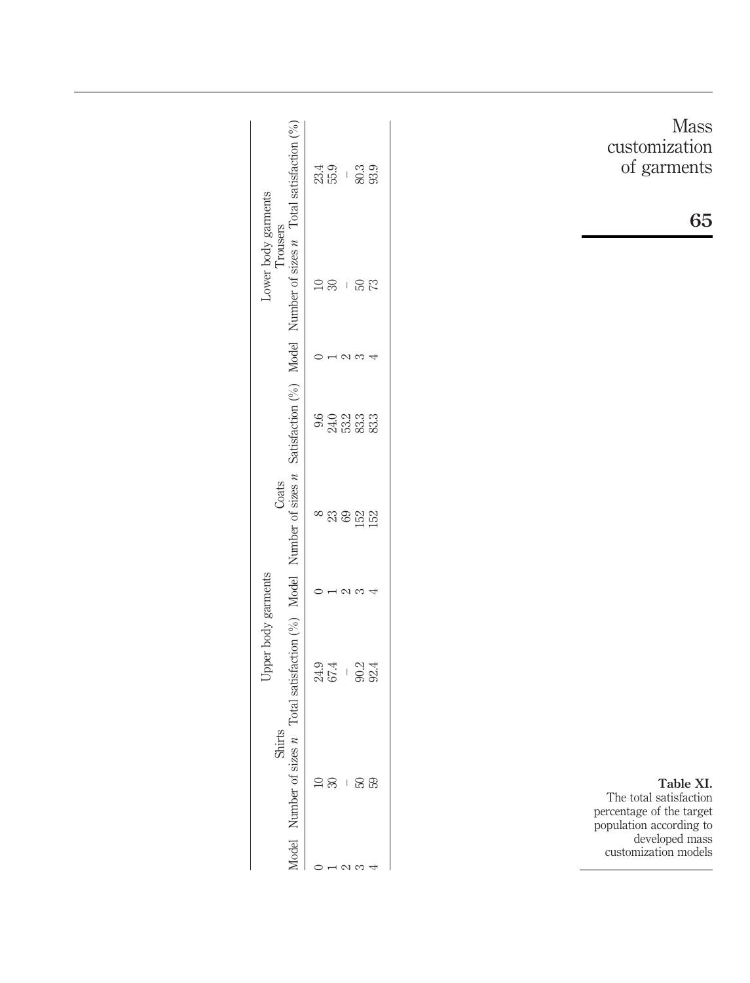| <b>Mass</b><br>customization<br>of garments<br>65                                          | 80.3<br>93.9<br>23.4<br>$\mathbf{I}$          | Total satisfaction (%)                                 |
|--------------------------------------------------------------------------------------------|-----------------------------------------------|--------------------------------------------------------|
|                                                                                            | $28 - 82$                                     | Lower body garments<br>Trousers<br>Number of sizes $n$ |
|                                                                                            | $0 - 2$                                       | <b>Model</b>                                           |
|                                                                                            | 900233333                                     | Satisfaction (%)                                       |
|                                                                                            | $\frac{8}{3}$ $\frac{8}{3}$ $\frac{13}{12}$   | Number of sizes $n$<br>Coats                           |
|                                                                                            | $0 - 2$                                       | Model                                                  |
|                                                                                            | $24.9$<br>67.4<br>$90.2$<br>$92.4$<br>$\vert$ | Upper body garments<br>Total satisfaction (%)          |
| Table XI.<br>The total satisfaction<br>percentage of the target<br>population according to | $28 - 88$                                     | <b>Shirts</b><br>Model Number of sizes n               |
| developed mass<br>customization models                                                     | $0 - N$ $N$ $4$                               |                                                        |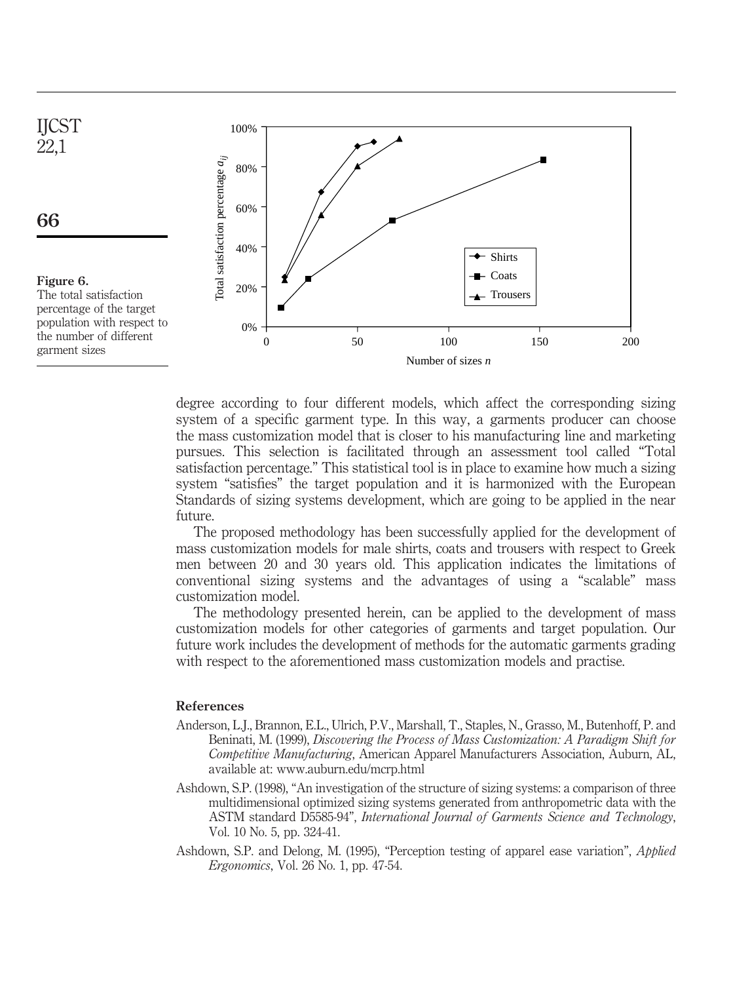

degree according to four different models, which affect the corresponding sizing system of a specific garment type. In this way, a garments producer can choose the mass customization model that is closer to his manufacturing line and marketing pursues. This selection is facilitated through an assessment tool called "Total satisfaction percentage." This statistical tool is in place to examine how much a sizing system "satisfies" the target population and it is harmonized with the European Standards of sizing systems development, which are going to be applied in the near future.

The proposed methodology has been successfully applied for the development of mass customization models for male shirts, coats and trousers with respect to Greek men between 20 and 30 years old. This application indicates the limitations of conventional sizing systems and the advantages of using a "scalable" mass customization model.

The methodology presented herein, can be applied to the development of mass customization models for other categories of garments and target population. Our future work includes the development of methods for the automatic garments grading with respect to the aforementioned mass customization models and practise.

### References

- Anderson, L.J., Brannon, E.L., Ulrich, P.V., Marshall, T., Staples, N., Grasso, M., Butenhoff, P. and Beninati, M. (1999), Discovering the Process of Mass Customization: A Paradigm Shift for Competitive Manufacturing, American Apparel Manufacturers Association, Auburn, AL, available at: www.auburn.edu/mcrp.html
- Ashdown, S.P. (1998), "An investigation of the structure of sizing systems: a comparison of three multidimensional optimized sizing systems generated from anthropometric data with the ASTM standard D5585-94", International Journal of Garments Science and Technology, Vol. 10 No. 5, pp. 324-41.
- Ashdown, S.P. and Delong, M. (1995), "Perception testing of apparel ease variation", Applied Ergonomics, Vol. 26 No. 1, pp. 47-54.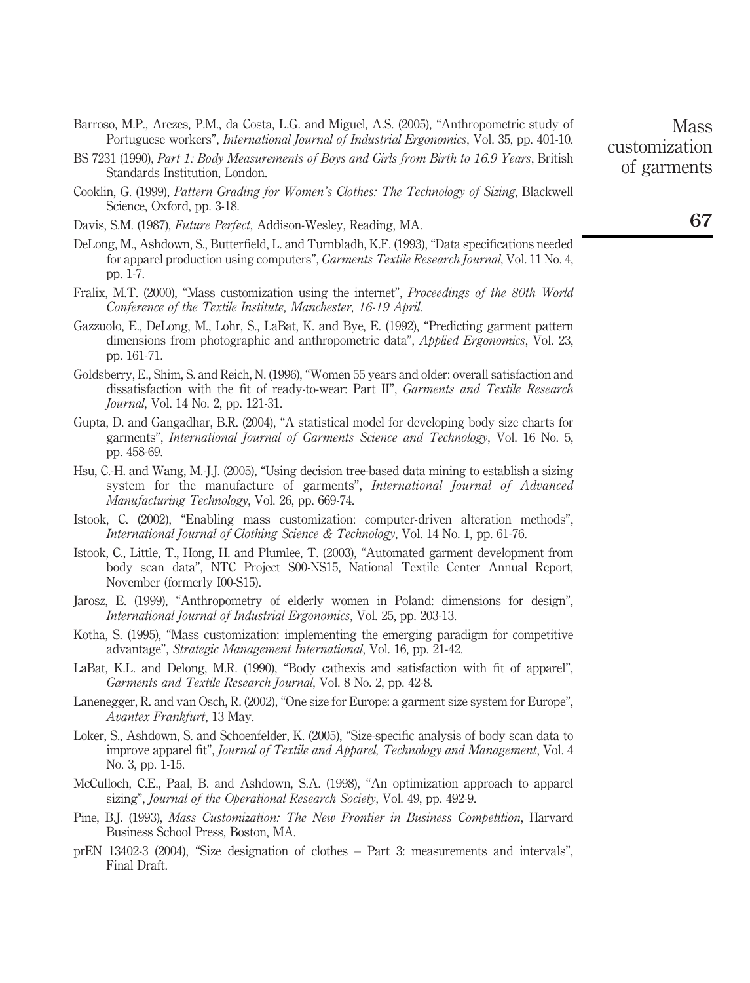- Barroso, M.P., Arezes, P.M., da Costa, L.G. and Miguel, A.S. (2005), "Anthropometric study of Portuguese workers", International Journal of Industrial Ergonomics, Vol. 35, pp. 401-10.
- BS 7231 (1990), Part 1: Body Measurements of Boys and Girls from Birth to 16.9 Years, British Standards Institution, London.
- Cooklin, G. (1999), Pattern Grading for Women's Clothes: The Technology of Sizing, Blackwell Science, Oxford, pp. 3-18.
- Davis, S.M. (1987), Future Perfect, Addison-Wesley, Reading, MA.
- DeLong, M., Ashdown, S., Butterfield, L. and Turnbladh, K.F. (1993), "Data specifications needed for apparel production using computers", Garments Textile Research Journal, Vol. 11 No. 4, pp. 1-7.
- Fralix, M.T. (2000), "Mass customization using the internet", Proceedings of the 80th World Conference of the Textile Institute, Manchester, 16-19 April.
- Gazzuolo, E., DeLong, M., Lohr, S., LaBat, K. and Bye, E. (1992), "Predicting garment pattern dimensions from photographic and anthropometric data", Applied Ergonomics, Vol. 23, pp. 161-71.
- Goldsberry, E., Shim, S. and Reich, N. (1996), "Women 55 years and older: overall satisfaction and dissatisfaction with the fit of ready-to-wear: Part II", Garments and Textile Research Journal, Vol. 14 No. 2, pp. 121-31.
- Gupta, D. and Gangadhar, B.R. (2004), "A statistical model for developing body size charts for garments", International Journal of Garments Science and Technology, Vol. 16 No. 5, pp. 458-69.
- Hsu, C.-H. and Wang, M.-J.J. (2005), "Using decision tree-based data mining to establish a sizing system for the manufacture of garments", International Journal of Advanced Manufacturing Technology, Vol. 26, pp. 669-74.
- Istook, C. (2002), "Enabling mass customization: computer-driven alteration methods", International Journal of Clothing Science & Technology, Vol. 14 No. 1, pp. 61-76.
- Istook, C., Little, T., Hong, H. and Plumlee, T. (2003), "Automated garment development from body scan data", NTC Project S00-NS15, National Textile Center Annual Report, November (formerly I00-S15).
- Jarosz, E. (1999), "Anthropometry of elderly women in Poland: dimensions for design", International Journal of Industrial Ergonomics, Vol. 25, pp. 203-13.
- Kotha, S. (1995), "Mass customization: implementing the emerging paradigm for competitive advantage", Strategic Management International, Vol. 16, pp. 21-42.
- LaBat, K.L. and Delong, M.R. (1990), "Body cathexis and satisfaction with fit of apparel", Garments and Textile Research Journal, Vol. 8 No. 2, pp. 42-8.
- Lanenegger, R. and van Osch, R. (2002), "One size for Europe: a garment size system for Europe", Avantex Frankfurt, 13 May.
- Loker, S., Ashdown, S. and Schoenfelder, K. (2005), "Size-specific analysis of body scan data to improve apparel fit", Journal of Textile and Apparel, Technology and Management, Vol. 4 No. 3, pp. 1-15.
- McCulloch, C.E., Paal, B. and Ashdown, S.A. (1998), "An optimization approach to apparel sizing", Journal of the Operational Research Society, Vol. 49, pp. 492-9.
- Pine, B.J. (1993), Mass Customization: The New Frontier in Business Competition, Harvard Business School Press, Boston, MA.
- prEN 13402-3 (2004), "Size designation of clothes Part 3: measurements and intervals", Final Draft.

Mass customization of garments